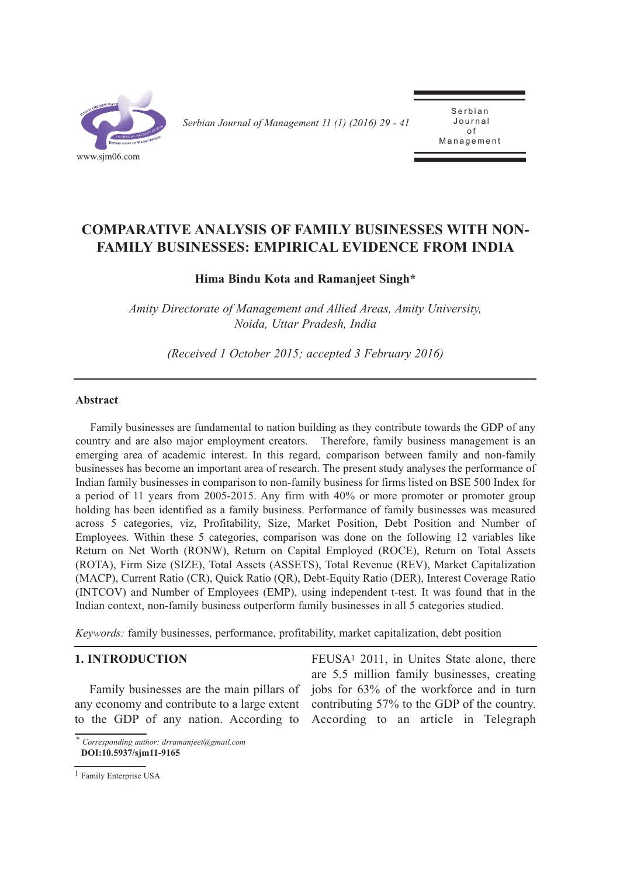

*Serbian Journal of Management 11 (1) (2016) 29 - 41* 

Serbian Journal of  $\overline{a}$ Management

# **COMPARATIVE ANALYSIS OF FAMILY BUSINESSES WITH NON-FAMILY BUSINESSES: EMPIRICAL EVIDENCE FROM INDIA**

# **Hima Bindu Kota and Ramanjeet Singh\***

*Amity Directorate of Management and Allied Areas, Amity University, Noida, Uttar Pradesh, India*

*(Received 1 October 2015; accepted 3 February 2016)*

#### **Abstract**

Family businesses are fundamental to nation building as they contribute towards the GDP of any country and are also major employment creators. Therefore, family business management is an emerging area of academic interest. In this regard, comparison between family and non-family businesses has become an important area of research. The present study analyses the performance of Indian family businesses in comparison to non-family business for firms listed on BSE 500 Index for a period of 11 years from 2005-2015. Any firm with 40% or more promoter or promoter group holding has been identified as a family business. Performance of family businesses was measured across 5 categories, viz, Profitability, Size, Market Position, Debt Position and Number of Employees. Within these 5 categories, comparison was done on the following 12 variables like Return on Net Worth (RONW), Return on Capital Employed (ROCE), Return on Total Assets (ROTA), Firm Size (SIZE), Total Assets (ASSETS), Total Revenue (REV), Market Capitalization (MACP), Current Ratio (CR), Quick Ratio (QR), Debt-Equity Ratio (DER), Interest Coverage Ratio (INTCOV) and Number of Employees (EMP), using independent t-test. It was found that in the Indian context, non-family business outperform family businesses in all 5 categories studied.

*Keywords:* family businesses, performance, profitability, market capitalization, debt position

# **1. INTRODUCTION**

Family businesses are the main pillars of any economy and contribute to a large extent to the GDP of any nation. According to

FEUSA<sup>1</sup> 2011, in Unites State alone, there are 5.5 million family businesses, creating jobs for 63% of the workforce and in turn contributing 57% to the GDP of the country. According to an article in Telegraph

*<sup>\*</sup> Corresponding author: drramanjeet@gmail.com*  **DOI:10.5937/sjm11-9165** 

<sup>1</sup> Family Enterprise USA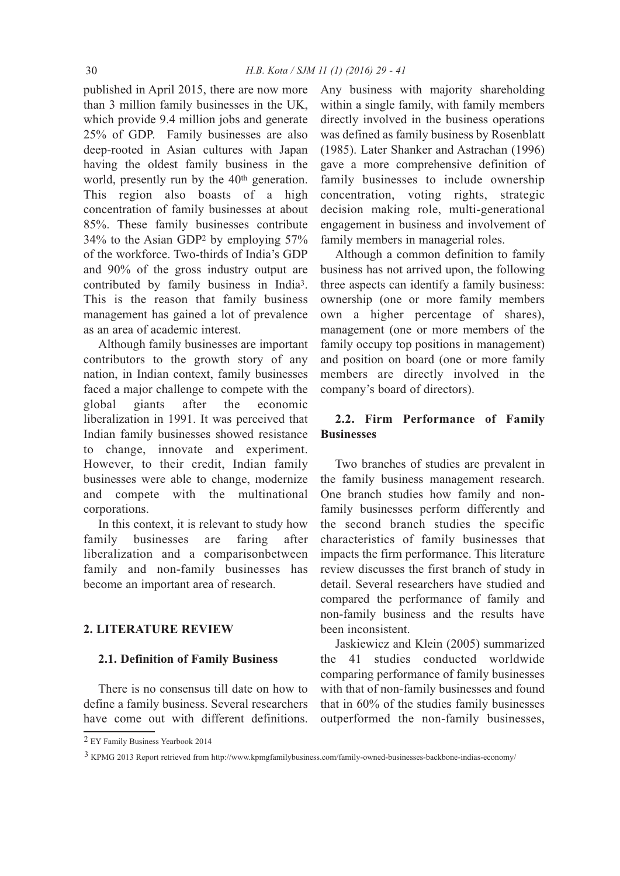published in April 2015, there are now more than 3 million family businesses in the UK, which provide 9.4 million jobs and generate 25% of GDP. Family businesses are also deep-rooted in Asian cultures with Japan having the oldest family business in the world, presently run by the 40<sup>th</sup> generation. This region also boasts of a high concentration of family businesses at about 85%. These family businesses contribute 34% to the Asian GDP2 by employing 57% of the workforce. Two-thirds of India's GDP and 90% of the gross industry output are contributed by family business in India3. This is the reason that family business management has gained a lot of prevalence as an area of academic interest.

Although family businesses are important contributors to the growth story of any nation, in Indian context, family businesses faced a major challenge to compete with the global giants after the economic liberalization in 1991. It was perceived that Indian family businesses showed resistance to change, innovate and experiment. However, to their credit, Indian family businesses were able to change, modernize and compete with the multinational corporations.

In this context, it is relevant to study how family businesses are faring after liberalization and a comparisonbetween family and non-family businesses has become an important area of research.

# **2. LITERATURE REVIEW**

### **2.1. Definition of Family Business**

There is no consensus till date on how to define a family business. Several researchers have come out with different definitions. Any business with majority shareholding within a single family, with family members directly involved in the business operations was defined as family business by Rosenblatt (1985). Later Shanker and Astrachan (1996) gave a more comprehensive definition of family businesses to include ownership concentration, voting rights, strategic decision making role, multi-generational engagement in business and involvement of family members in managerial roles.

Although a common definition to family business has not arrived upon, the following three aspects can identify a family business: ownership (one or more family members own a higher percentage of shares), management (one or more members of the family occupy top positions in management) and position on board (one or more family members are directly involved in the company's board of directors).

# **2.2. Firm Performance of Family Businesses**

Two branches of studies are prevalent in the family business management research. One branch studies how family and nonfamily businesses perform differently and the second branch studies the specific characteristics of family businesses that impacts the firm performance. This literature review discusses the first branch of study in detail. Several researchers have studied and compared the performance of family and non-family business and the results have been inconsistent.

Jaskiewicz and Klein (2005) summarized the 41 studies conducted worldwide comparing performance of family businesses with that of non-family businesses and found that in 60% of the studies family businesses outperformed the non-family businesses,

3 KPMG 2013 Report retrieved from http://www.kpmgfamilybusiness.com/family-owned-businesses-backbone-indias-economy/

<sup>2</sup> EY Family Business Yearbook 2014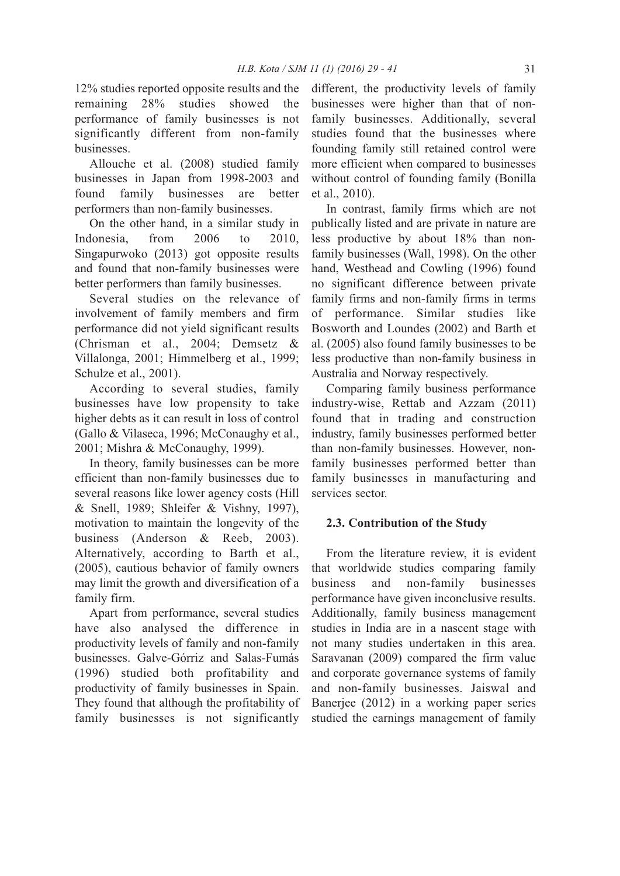12% studies reported opposite results and the remaining 28% studies showed the performance of family businesses is not significantly different from non-family businesses.

Allouche et al. (2008) studied family businesses in Japan from 1998-2003 and found family businesses are better performers than non-family businesses.

On the other hand, in a similar study in Indonesia, from 2006 to 2010, Singapurwoko (2013) got opposite results and found that non-family businesses were better performers than family businesses.

Several studies on the relevance of involvement of family members and firm performance did not yield significant results (Chrisman et al., 2004; Demsetz & Villalonga, 2001; Himmelberg et al., 1999; Schulze et al., 2001).

According to several studies, family businesses have low propensity to take higher debts as it can result in loss of control (Gallo & Vilaseca, 1996; McConaughy et al., 2001; Mishra & McConaughy, 1999).

In theory, family businesses can be more efficient than non-family businesses due to several reasons like lower agency costs (Hill & Snell, 1989; Shleifer & Vishny, 1997), motivation to maintain the longevity of the business (Anderson & Reeb, 2003). Alternatively, according to Barth et al., (2005), cautious behavior of family owners may limit the growth and diversification of a family firm.

Apart from performance, several studies have also analysed the difference in productivity levels of family and non-family businesses. Galve-Górriz and Salas-Fumás (1996) studied both profitability and productivity of family businesses in Spain. They found that although the profitability of family businesses is not significantly different, the productivity levels of family businesses were higher than that of nonfamily businesses. Additionally, several studies found that the businesses where founding family still retained control were more efficient when compared to businesses without control of founding family (Bonilla et al., 2010).

In contrast, family firms which are not publically listed and are private in nature are less productive by about 18% than nonfamily businesses (Wall, 1998). On the other hand, Westhead and Cowling (1996) found no significant difference between private family firms and non-family firms in terms of performance. Similar studies like Bosworth and Loundes (2002) and Barth et al. (2005) also found family businesses to be less productive than non-family business in Australia and Norway respectively.

Comparing family business performance industry-wise, Rettab and Azzam (2011) found that in trading and construction industry, family businesses performed better than non-family businesses. However, nonfamily businesses performed better than family businesses in manufacturing and services sector.

# **2.3. Contribution of the Study**

From the literature review, it is evident that worldwide studies comparing family business and non-family businesses performance have given inconclusive results. Additionally, family business management studies in India are in a nascent stage with not many studies undertaken in this area. Saravanan (2009) compared the firm value and corporate governance systems of family and non-family businesses. Jaiswal and Banerjee (2012) in a working paper series studied the earnings management of family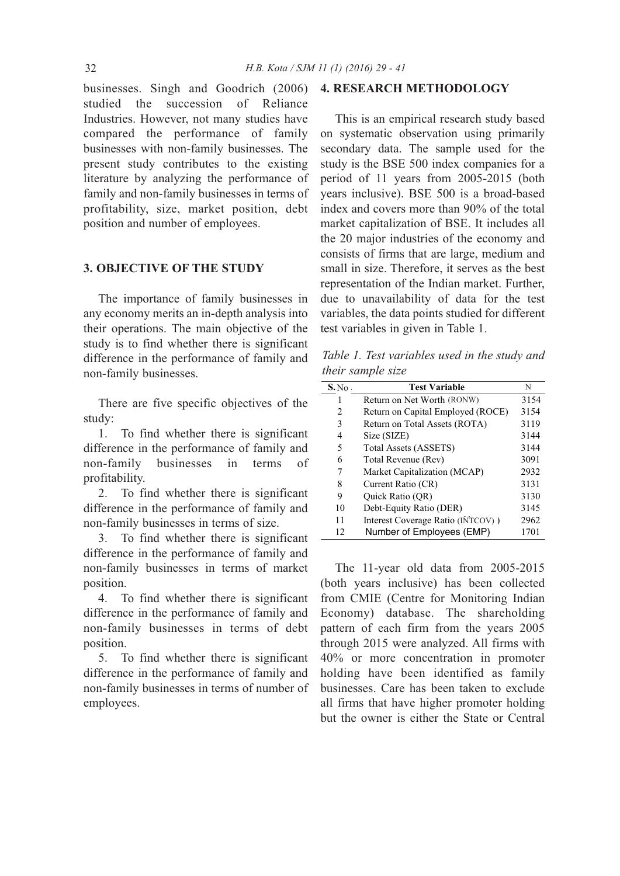businesses. Singh and Goodrich (2006) **4. RESEARCH METHODOLOGY** studied the succession of Reliance Industries. However, not many studies have compared the performance of family businesses with non-family businesses. The present study contributes to the existing literature by analyzing the performance of family and non-family businesses in terms of profitability, size, market position, debt position and number of employees.

# **3. OBJECTIVE OF THE STUDY**

The importance of family businesses in any economy merits an in-depth analysis into their operations. The main objective of the study is to find whether there is significant difference in the performance of family and non-family businesses.

There are five specific objectives of the study:

1. To find whether there is significant difference in the performance of family and non-family businesses in terms of profitability.

2. To find whether there is significant difference in the performance of family and non-family businesses in terms of size.

3. To find whether there is significant difference in the performance of family and non-family businesses in terms of market position.

4. To find whether there is significant difference in the performance of family and non-family businesses in terms of debt position.

5. To find whether there is significant difference in the performance of family and non-family businesses in terms of number of employees.

This is an empirical research study based on systematic observation using primarily secondary data. The sample used for the study is the BSE 500 index companies for a period of 11 years from 2005-2015 (both years inclusive). BSE 500 is a broad-based index and covers more than 90% of the total market capitalization of BSE. It includes all the 20 major industries of the economy and consists of firms that are large, medium and small in size. Therefore, it serves as the best representation of the Indian market. Further, due to unavailability of data for the test variables, the data points studied for different test variables in given in Table 1.

*Table 1. Test variables used in the study and their sample size*

| S. No. | <b>Test Variable</b>               | N    |
|--------|------------------------------------|------|
|        | Return on Net Worth (RONW)         | 3154 |
| 2      | Return on Capital Employed (ROCE)  | 3154 |
| 3      | Return on Total Assets (ROTA)      | 3119 |
| 4      | Size (SIZE)                        | 3144 |
| 5      | <b>Total Assets (ASSETS)</b>       | 3144 |
| 6      | Total Revenue (Rev)                | 3091 |
| 7      | Market Capitalization (MCAP)       | 2932 |
| 8      | Current Ratio (CR)                 | 3131 |
| 9      | <b>Ouick Ratio (OR)</b>            | 3130 |
| 10     | Debt-Equity Ratio (DER)            | 3145 |
| 11     | Interest Coverage Ratio (INTCOV) ) | 2962 |
| 12     | Number of Employees (EMP)          | 1701 |

The 11-year old data from 2005-2015 (both years inclusive) has been collected from CMIE (Centre for Monitoring Indian Economy) database. The shareholding pattern of each firm from the years 2005 through 2015 were analyzed. All firms with 40% or more concentration in promoter holding have been identified as family businesses. Care has been taken to exclude all firms that have higher promoter holding but the owner is either the State or Central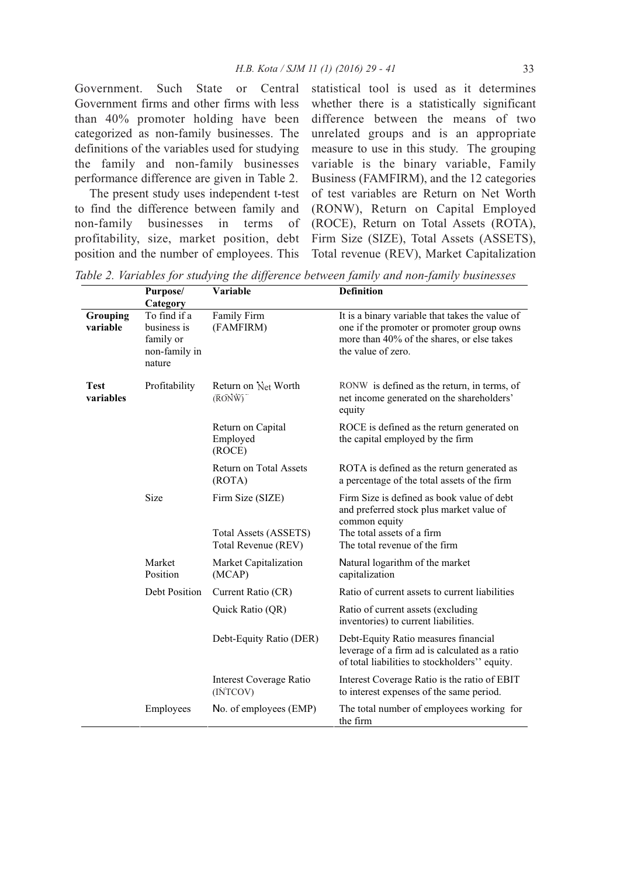Government. Such State or Central Government firms and other firms with less than 40% promoter holding have been categorized as non-family businesses. The definitions of the variables used for studying the family and non-family businesses performance difference are given in Table 2.

The present study uses independent t-test to find the difference between family and non-family businesses in terms of profitability, size, market position, debt position and the number of employees. This

statistical tool is used as it determines whether there is a statistically significant difference between the means of two unrelated groups and is an appropriate measure to use in this study. The grouping variable is the binary variable, Family Business (FAMFIRM), and the 12 categories of test variables are Return on Net Worth (RONW), Return on Capital Employed (ROCE), Return on Total Assets (ROTA), Firm Size (SIZE), Total Assets (ASSETS), Total revenue (REV), Market Capitalization

*Table 2. Variables for studying the difference between family and non-family businesses*

|                      | Purpose/<br>Category                                                | Variable                                                                | <b>Definition</b>                                                                                                                                                      |
|----------------------|---------------------------------------------------------------------|-------------------------------------------------------------------------|------------------------------------------------------------------------------------------------------------------------------------------------------------------------|
| Grouping<br>variable | To find if a<br>business is<br>family or<br>non-family in<br>nature | Family Firm<br>(FAMFIRM)                                                | It is a binary variable that takes the value of<br>one if the promoter or promoter group owns<br>more than 40% of the shares, or else takes<br>the value of zero.      |
| Test<br>variables    | Profitability                                                       | Return on Net Worth<br>$(\overline{RONW})$                              | RONW is defined as the return, in terms, of<br>net income generated on the shareholders'<br>equity                                                                     |
|                      |                                                                     | Return on Capital<br>Employed<br>(ROCE)                                 | ROCE is defined as the return generated on<br>the capital employed by the firm                                                                                         |
|                      |                                                                     | Return on Total Assets<br>(ROTA)                                        | ROTA is defined as the return generated as<br>a percentage of the total assets of the firm                                                                             |
|                      | Size                                                                | Firm Size (SIZE)<br><b>Total Assets (ASSETS)</b><br>Total Revenue (REV) | Firm Size is defined as book value of debt<br>and preferred stock plus market value of<br>common equity<br>The total assets of a firm<br>The total revenue of the firm |
|                      | Market                                                              | Market Capitalization                                                   | Natural logarithm of the market                                                                                                                                        |
|                      | Position                                                            | (MCAP)                                                                  | capitalization                                                                                                                                                         |
|                      | Debt Position                                                       | Current Ratio (CR)                                                      | Ratio of current assets to current liabilities                                                                                                                         |
|                      |                                                                     | Quick Ratio (QR)                                                        | Ratio of current assets (excluding<br>inventories) to current liabilities.                                                                                             |
|                      |                                                                     | Debt-Equity Ratio (DER)                                                 | Debt-Equity Ratio measures financial<br>leverage of a firm ad is calculated as a ratio<br>of total liabilities to stockholders" equity.                                |
|                      |                                                                     | Interest Coverage Ratio<br>(INTCOV)                                     | Interest Coverage Ratio is the ratio of EBIT<br>to interest expenses of the same period.                                                                               |
|                      | Employees                                                           | No. of employees (EMP)                                                  | The total number of employees working for<br>the firm                                                                                                                  |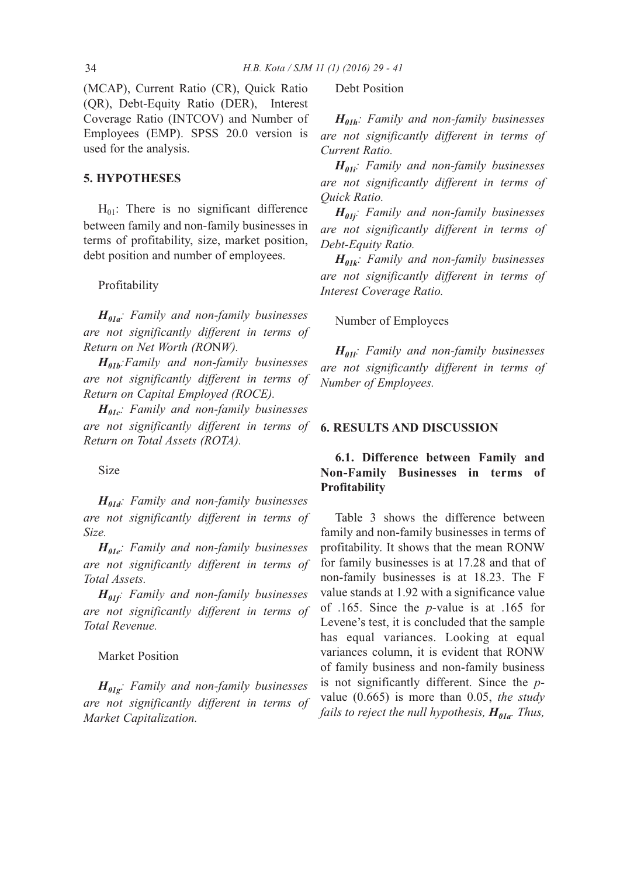(MCAP), Current Ratio (CR), Quick Ratio (QR), Debt-Equity Ratio (DER), Interest Coverage Ratio (INTCOV) and Number of Employees (EMP). SPSS 20.0 version is used for the analysis.

# **5. HYPOTHESES**

 $H_{01}$ : There is no significant difference between family and non-family businesses in terms of profitability, size, market position, debt position and number of employees.

Profitability

*H01a: Family and non-family businesses are not significantly different in terms of Return on Net Worth (RO*N*W).*

*H01b:Family and non-family businesses are not significantly different in terms of Return on Capital Employed (ROCE).*

*H01c: Family and non-family businesses are not significantly different in terms of Return on Total Assets (ROTA).*

Size

*H01d: Family and non-family businesses are not significantly different in terms of Size.*

*H01e: Family and non-family businesses are not significantly different in terms of Total Assets.*

*H01f: Family and non-family businesses are not significantly different in terms of Total Revenue.*

# Market Position

*H01g: Family and non-family businesses are not significantly different in terms of Market Capitalization.*

Debt Position

*H01h: Family and non-family businesses are not significantly different in terms of Current Ratio.*

*H01i: Family and non-family businesses are not significantly different in terms of Quick Ratio.*

*H01j: Family and non-family businesses are not significantly different in terms of Debt-Equity Ratio.*

*H01k: Family and non-family businesses are not significantly different in terms of Interest Coverage Ratio.*

#### Number of Employees

*H01l: Family and non-family businesses are not significantly different in terms of Number of Employees.*

### **6. RESULTS AND DISCUSSION**

# **6.1. Difference between Family and Non-Family Businesses in terms of Profitability**

Table 3 shows the difference between family and non-family businesses in terms of profitability. It shows that the mean RONW for family businesses is at 17.28 and that of non-family businesses is at 18.23. The F value stands at 1.92 with a significance value of .165. Since the *p*-value is at .165 for Levene's test, it is concluded that the sample has equal variances. Looking at equal variances column, it is evident that RONW of family business and non-family business is not significantly different. Since the *p*value (0.665) is more than 0.05, *the study fails to reject the null hypothesis,*  $H_{01a}$ *. Thus,*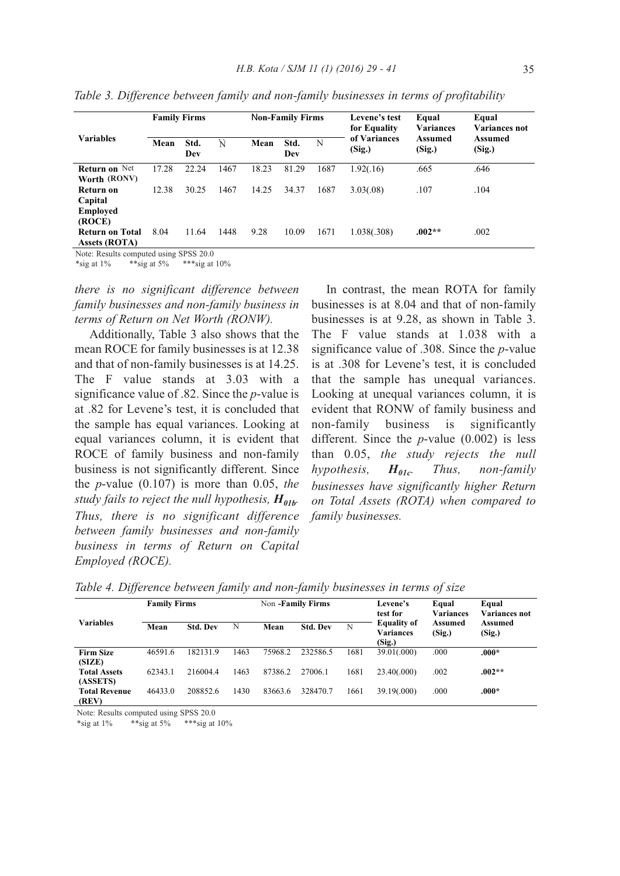| <b>Family Firms</b> |             |          | <b>Non-Family Firms</b> |             |      | Levene's test<br>for Equality | Equal<br><b>Variances</b> | Equal<br>Variances not |
|---------------------|-------------|----------|-------------------------|-------------|------|-------------------------------|---------------------------|------------------------|
| Mean                | Std.<br>Dev | N        | Mean                    | Std.<br>Dev | N    | (Sig.)                        | (Sig.)                    | Assumed<br>(Sig.)      |
| 17.28               | 22.24       | 1467     | 18.23                   | 81.29       | 1687 | 1.92(.16)                     | .665                      | .646                   |
|                     |             |          |                         |             |      |                               |                           |                        |
| 12.38               | 30.25       | 1467     | 14.25                   | 34.37       | 1687 | 3.03(.08)                     | .107                      | .104                   |
|                     |             |          |                         |             |      |                               |                           |                        |
|                     |             |          |                         |             |      |                               |                           |                        |
|                     |             |          |                         |             |      |                               |                           |                        |
| 8.04                | 11.64       | 1448     | 9.28                    | 10.09       | 1671 | 1.038(.308)                   | $.002**$                  | .002                   |
|                     |             |          |                         |             |      |                               |                           |                        |
|                     |             | $\alpha$ |                         |             |      |                               | of Variances              | Assumed                |

*Table 3. Difference between family and non-family businesses in terms of profitability*

Note: Results computed using SPSS 20.0 \*sig at  $1\%$  \*\*sig at  $5\%$  \*\*\*sig at  $10\%$ 

*there is no significant difference between family businesses and non-family business in terms of Return on Net Worth (RONW).*

Additionally, Table 3 also shows that the mean ROCE for family businesses is at 12.38 and that of non-family businesses is at 14.25. The F value stands at 3.03 with a significance value of .82. Since the *p*-value is at .82 for Levene's test, it is concluded that the sample has equal variances. Looking at equal variances column, it is evident that ROCE of family business and non-family business is not significantly different. Since the *p*-value (0.107) is more than 0.05, *the study fails to reject the null hypothesis,*  $H_{01b}$ *. Thus, there is no significant difference between family businesses and non-family business in terms of Return on Capital Employed (ROCE).*

In contrast, the mean ROTA for family businesses is at 8.04 and that of non-family businesses is at 9.28, as shown in Table 3. The F value stands at 1.038 with a significance value of .308. Since the *p*-value is at .308 for Levene's test, it is concluded that the sample has unequal variances. Looking at unequal variances column, it is evident that RONW of family business and non-family business is significantly different. Since the *p*-value (0.002) is less than 0.05, *the study rejects the null hypothesis,*  $H_{01c}$ . Thus, non-family *businesses have significantly higher Return on Total Assets (ROTA) when compared to family businesses.*

| <b>Variables</b>                | <b>Family Firms</b> |                 |      |         | Non -Family Firms |      | Levene's<br>test for<br><b>Equality of</b><br><b>Variances</b><br>(Sig.) | Equal<br><b>Variances</b><br>Assumed<br>(Sig.) | Equal<br>Variances not<br>Assumed<br>(Sig.) |
|---------------------------------|---------------------|-----------------|------|---------|-------------------|------|--------------------------------------------------------------------------|------------------------------------------------|---------------------------------------------|
|                                 | Mean                | <b>Std. Dev</b> | N    | Mean    | <b>Std. Dev</b>   | N    |                                                                          |                                                |                                             |
| <b>Firm Size</b><br>(SIZE)      | 46591.6             | 182131.9        | 1463 | 75968.2 | 232586.5          | 1681 | 39.01(.000)                                                              | .000                                           | $.000*$                                     |
| <b>Total Assets</b><br>(ASSETS) | 62343.1             | 2160044         | 1463 | 87386.2 | 27006.1           | 1681 | 23.40(.000)                                                              | .002                                           | $.002**$                                    |
| <b>Total Revenue</b><br>(REV)   | 46433.0             | 208852.6        | 1430 | 83663.6 | 328470.7          | 1661 | 39.19(.000)                                                              | .000                                           | $.000*$                                     |

*Table 4. Difference between family and non-family businesses in terms of size*

Note: Results computed using SPSS 20.0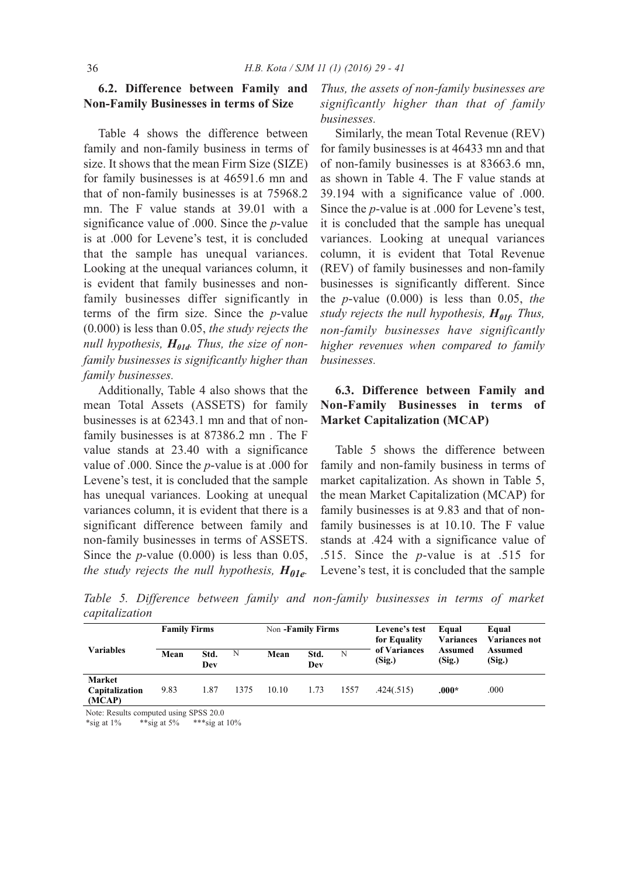# **6.2. Difference between Family and Non-Family Businesses in terms of Size**

Table 4 shows the difference between family and non-family business in terms of size. It shows that the mean Firm Size (SIZE) for family businesses is at 46591.6 mn and that of non-family businesses is at 75968.2 mn. The F value stands at 39.01 with a significance value of .000. Since the *p*-value is at .000 for Levene's test, it is concluded that the sample has unequal variances. Looking at the unequal variances column, it is evident that family businesses and nonfamily businesses differ significantly in terms of the firm size. Since the *p*-value (0.000) is less than 0.05, *the study rejects the null hypothesis,*  $H_{01d}$ *. Thus, the size of nonfamily businesses is significantly higher than family businesses.*

Additionally, Table 4 also shows that the mean Total Assets (ASSETS) for family businesses is at 62343.1 mn and that of nonfamily businesses is at 87386.2 mn . The F value stands at 23.40 with a significance value of .000. Since the *p*-value is at .000 for Levene's test, it is concluded that the sample has unequal variances. Looking at unequal variances column, it is evident that there is a significant difference between family and non-family businesses in terms of ASSETS. Since the *p*-value (0.000) is less than 0.05, *the study rejects the null hypothesis,*  $H_{01e}$ .

*Thus, the assets of non-family businesses are significantly higher than that of family businesses.*

Similarly, the mean Total Revenue (REV) for family businesses is at 46433 mn and that of non-family businesses is at 83663.6 mn, as shown in Table 4. The F value stands at 39.194 with a significance value of .000. Since the *p*-value is at .000 for Levene's test, it is concluded that the sample has unequal variances. Looking at unequal variances column, it is evident that Total Revenue (REV) of family businesses and non-family businesses is significantly different. Since the *p*-value (0.000) is less than 0.05, *the study rejects the null hypothesis,*  $H_{01f}$  *Thus, non-family businesses have significantly higher revenues when compared to family businesses.*

# **6.3. Difference between Family and Non-Family Businesses in terms of Market Capitalization (MCAP)**

Table 5 shows the difference between family and non-family business in terms of market capitalization. As shown in Table 5, the mean Market Capitalization (MCAP) for family businesses is at 9.83 and that of nonfamily businesses is at 10.10. The F value stands at .424 with a significance value of .515. Since the *p*-value is at .515 for Levene's test, it is concluded that the sample

*Table 5. Difference between family and non-family businesses in terms of market capitalization*

| <b>Variables</b>                          | <b>Family Firms</b> |             |      | Non -Family Firms |             |      | Levene's test<br>for Equality | Equal<br><b>Variances</b> | Equal<br><b>Variances not</b> |
|-------------------------------------------|---------------------|-------------|------|-------------------|-------------|------|-------------------------------|---------------------------|-------------------------------|
|                                           | Mean                | Std.<br>Dev | N    | Mean              | Std.<br>Dev | N    | of Variances<br>(Sig.)        | <b>Assumed</b><br>(Sig.)  | Assumed<br>(Sig.)             |
| <b>Market</b><br>Capitalization<br>(MCAP) | 9.83                | 1.87        | 1375 | 10.10             | 1.73        | 1557 | .424(.515)                    | $.000*$                   | .000                          |

Note: Results computed using SPSS 20.0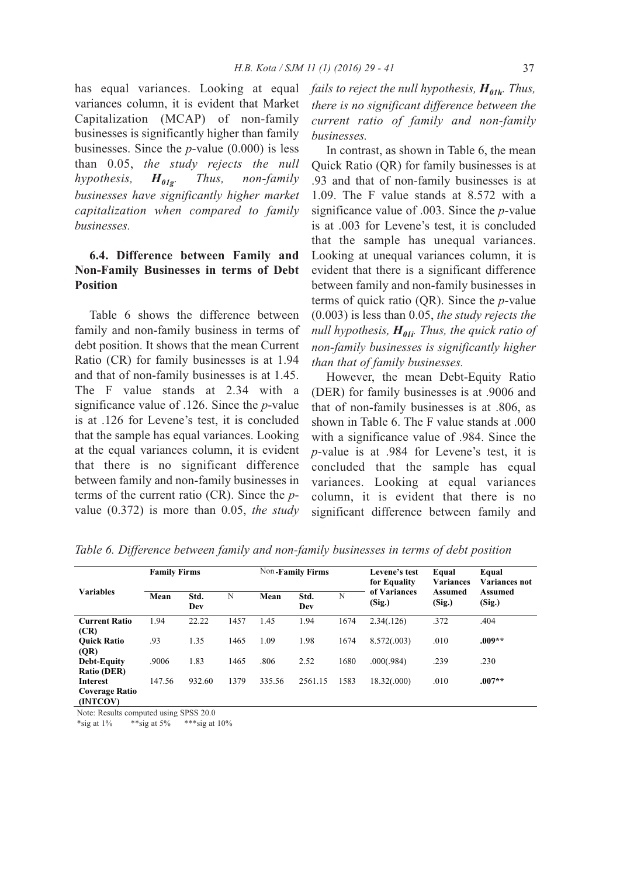has equal variances. Looking at equal variances column, it is evident that Market Capitalization (MCAP) of non-family businesses is significantly higher than family businesses. Since the *p*-value (0.000) is less than 0.05, *the study rejects the null*  $hypothesis,$   $H_{01g}$ *. Thus, non-family businesses have significantly higher market capitalization when compared to family businesses.*

# **6.4. Difference between Family and Non-Family Businesses in terms of Debt Position**

Table 6 shows the difference between family and non-family business in terms of debt position. It shows that the mean Current Ratio (CR) for family businesses is at 1.94 and that of non-family businesses is at 1.45. The F value stands at 2.34 with a significance value of .126. Since the *p*-value is at .126 for Levene's test, it is concluded that the sample has equal variances. Looking at the equal variances column, it is evident that there is no significant difference between family and non-family businesses in terms of the current ratio (CR). Since the *p*value (0.372) is more than 0.05, *the study* *fails to reject the null hypothesis,*  $H_{01h}$ *. Thus, there is no significant difference between the current ratio of family and non-family businesses.*

In contrast, as shown in Table 6, the mean Quick Ratio (QR) for family businesses is at .93 and that of non-family businesses is at 1.09. The F value stands at 8.572 with a significance value of .003. Since the *p*-value is at .003 for Levene's test, it is concluded that the sample has unequal variances. Looking at unequal variances column, it is evident that there is a significant difference between family and non-family businesses in terms of quick ratio (QR). Since the *p*-value (0.003) is less than 0.05, *the study rejects the null hypothesis,*  $H_{01i}$ *. Thus, the quick ratio of non-family businesses is significantly higher than that of family businesses.*

However, the mean Debt-Equity Ratio (DER) for family businesses is at .9006 and that of non-family businesses is at .806, as shown in Table 6. The F value stands at .000 with a significance value of .984. Since the *p*-value is at .984 for Levene's test, it is concluded that the sample has equal variances. Looking at equal variances column, it is evident that there is no significant difference between family and

| <b>Variables</b>                              | <b>Family Firms</b> |             |      |        | Non-Family Firms |      | Levene's test<br>for Equality | Equal<br><b>Variances</b> | Equal<br><b>Variances not</b> |
|-----------------------------------------------|---------------------|-------------|------|--------|------------------|------|-------------------------------|---------------------------|-------------------------------|
|                                               | Mean                | Std.<br>Dev | N    | Mean   | Std.<br>Dev      | N    | of Variances<br>(Sig.)        | Assumed<br>(Sig.)         | Assumed<br>(Sig.)             |
| <b>Current Ratio</b><br>(CR)                  | 1.94                | 22.22       | 1457 | 1.45   | 1.94             | 1674 | 2.34(.126)                    | .372                      | .404                          |
| <b>Ouick Ratio</b><br>(QR)                    | .93                 | 1.35        | 1465 | 1.09   | 1.98             | 1674 | 8.572(.003)                   | .010                      | $.009**$                      |
| <b>Debt-Equity</b><br>Ratio (DER)             | .9006               | 1.83        | 1465 | .806   | 2.52             | 1680 | .000(.984)                    | .239                      | .230                          |
| Interest<br><b>Coverage Ratio</b><br>(INTCOV) | 147.56              | 932.60      | 1379 | 335.56 | 2561.15          | 1583 | 18.32(.000)                   | .010                      | $.007**$                      |

*Table 6. Difference between family and non-family businesses in terms of debt position*

Note: Results computed using SPSS 20.0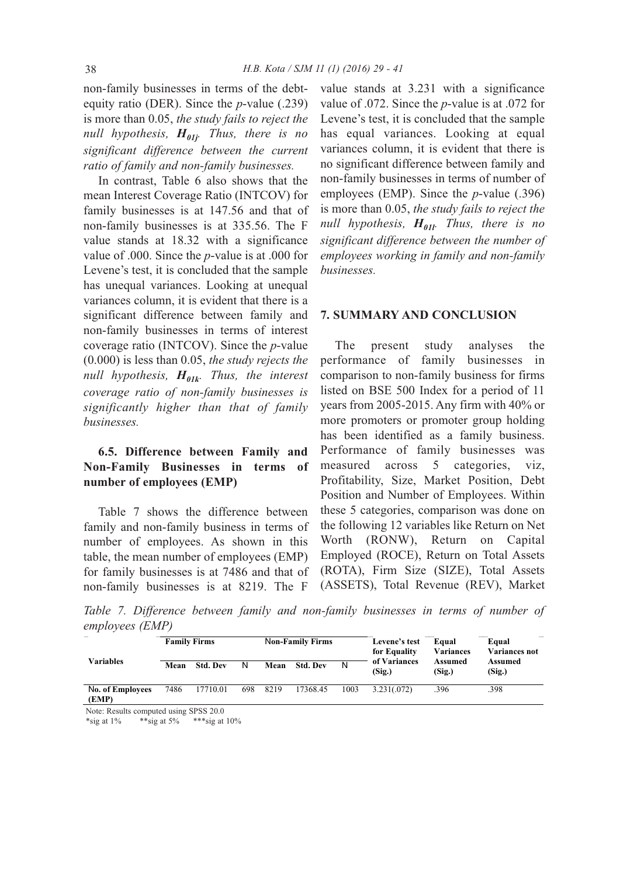non-family businesses in terms of the debtequity ratio (DER). Since the *p*-value (.239) is more than 0.05, *the study fails to reject the null hypothesis,*  $H_{01i}$ *. Thus, there is no significant difference between the current ratio of family and non-family businesses.*

In contrast, Table 6 also shows that the mean Interest Coverage Ratio (INTCOV) for family businesses is at 147.56 and that of non-family businesses is at 335.56. The F value stands at 18.32 with a significance value of .000. Since the *p*-value is at .000 for Levene's test, it is concluded that the sample has unequal variances. Looking at unequal variances column, it is evident that there is a significant difference between family and non-family businesses in terms of interest coverage ratio (INTCOV). Since the *p*-value (0.000) is less than 0.05, *the study rejects the null hypothesis,*  $H_{01k}$ *. Thus, the interest coverage ratio of non-family businesses is significantly higher than that of family businesses.*

# **6.5. Difference between Family and Non-Family Businesses in terms of number of employees (EMP)**

Table 7 shows the difference between family and non-family business in terms of number of employees. As shown in this table, the mean number of employees (EMP) for family businesses is at 7486 and that of non-family businesses is at 8219. The F

value stands at 3.231 with a significance value of .072. Since the *p*-value is at .072 for Levene's test, it is concluded that the sample has equal variances. Looking at equal variances column, it is evident that there is no significant difference between family and non-family businesses in terms of number of employees (EMP). Since the *p*-value (.396) is more than 0.05, *the study fails to reject the null hypothesis,*  $H_{01l}$ *. Thus, there is no significant difference between the number of employees working in family and non-family businesses.*

#### **7. SUMMARY AND CONCLUSION**

The present study analyses the performance of family businesses in comparison to non-family business for firms listed on BSE 500 Index for a period of 11 years from 2005-2015. Any firm with 40% or more promoters or promoter group holding has been identified as a family business. Performance of family businesses was measured across 5 categories, viz, Profitability, Size, Market Position, Debt Position and Number of Employees. Within these 5 categories, comparison was done on the following 12 variables like Return on Net Worth (RONW), Return on Capital Employed (ROCE), Return on Total Assets (ROTA), Firm Size (SIZE), Total Assets (ASSETS), Total Revenue (REV), Market

*Table 7. Difference between family and non-family businesses in terms of number of employees (EMP)*

| <b>Variables</b>                 | <b>Family Firms</b> |                 |     | <b>Non-Family Firms</b> |                 |      | Levene's test<br>for Equality | Equal<br><b>Variances</b> | Equal<br><b>Variances not</b> |
|----------------------------------|---------------------|-----------------|-----|-------------------------|-----------------|------|-------------------------------|---------------------------|-------------------------------|
|                                  | Mean                | <b>Std. Dev</b> | N   | Mean                    | <b>Std. Dev</b> | N    | of Variances<br>(Sig.)        | Assumed<br>(Sig.)         | <b>Assumed</b><br>(Sig.)      |
| <b>No. of Employees</b><br>(EMP) | 7486                | 17710.01        | 698 | 8219                    | 17368.45        | 1003 | 3.231(.072)                   | .396                      | .398                          |

Note: Results computed using SPSS 20.0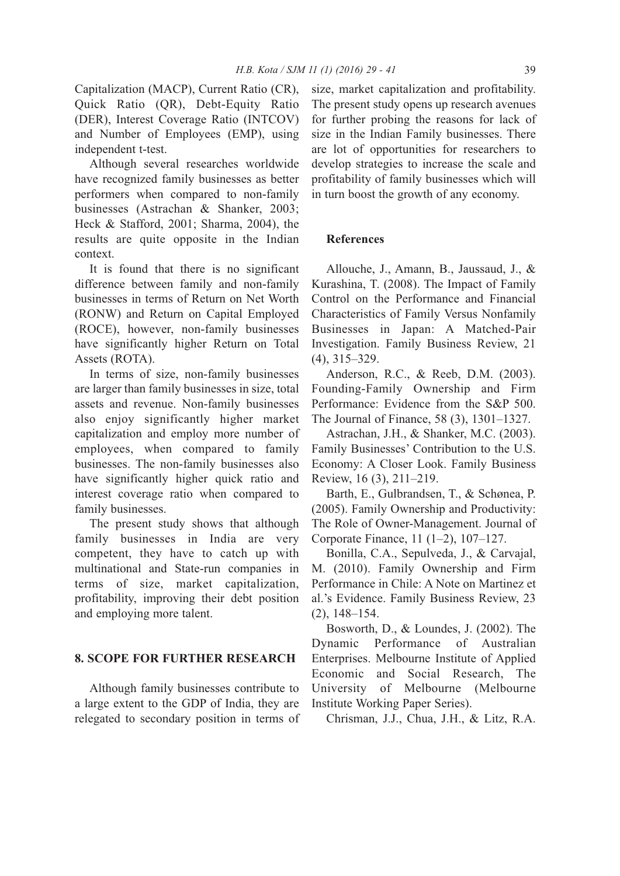Capitalization (MACP), Current Ratio (CR), Quick Ratio (QR), Debt-Equity Ratio (DER), Interest Coverage Ratio (INTCOV) and Number of Employees (EMP), using independent t-test.

Although several researches worldwide have recognized family businesses as better performers when compared to non-family businesses (Astrachan & Shanker, 2003; Heck & Stafford, 2001; Sharma, 2004), the results are quite opposite in the Indian context.

It is found that there is no significant difference between family and non-family businesses in terms of Return on Net Worth (RONW) and Return on Capital Employed (ROCE), however, non-family businesses have significantly higher Return on Total Assets (ROTA).

In terms of size, non-family businesses are larger than family businesses in size, total assets and revenue. Non-family businesses also enjoy significantly higher market capitalization and employ more number of employees, when compared to family businesses. The non-family businesses also have significantly higher quick ratio and interest coverage ratio when compared to family businesses.

The present study shows that although family businesses in India are very competent, they have to catch up with multinational and State-run companies in terms of size, market capitalization, profitability, improving their debt position and employing more talent.

# **8. SCOPE FOR FURTHER RESEARCH**

Although family businesses contribute to a large extent to the GDP of India, they are relegated to secondary position in terms of size, market capitalization and profitability. The present study opens up research avenues for further probing the reasons for lack of size in the Indian Family businesses. There are lot of opportunities for researchers to develop strategies to increase the scale and profitability of family businesses which will in turn boost the growth of any economy.

#### **References**

Allouche, J., Amann, B., Jaussaud, J., & Kurashina, T. (2008). The Impact of Family Control on the Performance and Financial Characteristics of Family Versus Nonfamily Businesses in Japan: A Matched-Pair Investigation. Family Business Review, 21 (4), 315–329.

Anderson, R.C., & Reeb, D.M. (2003). Founding-Family Ownership and Firm Performance: Evidence from the S&P 500. The Journal of Finance, 58 (3), 1301–1327.

Astrachan, J.H., & Shanker, M.C. (2003). Family Businesses' Contribution to the U.S. Economy: A Closer Look. Family Business Review, 16 (3), 211–219.

Barth, E., Gulbrandsen, T., & Schønea, P. (2005). Family Ownership and Productivity: The Role of Owner-Management. Journal of Corporate Finance, 11 (1–2), 107–127.

Bonilla, C.A., Sepulveda, J., & Carvajal, M. (2010). Family Ownership and Firm Performance in Chile: A Note on Martinez et al.'s Evidence. Family Business Review, 23 (2), 148–154.

Bosworth, D., & Loundes, J. (2002). The Dynamic Performance of Australian Enterprises. Melbourne Institute of Applied Economic and Social Research, The University of Melbourne (Melbourne Institute Working Paper Series).

Chrisman, J.J., Chua, J.H., & Litz, R.A.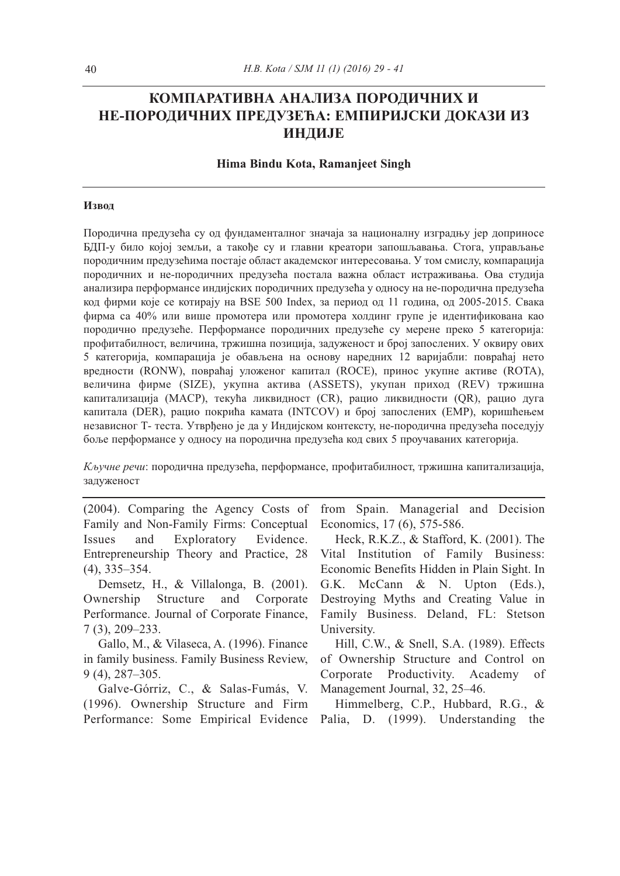# **КОМПАРАТИВНА АНАЛИЗА ПОРОДИЧНИХ И НЕ-ПОРОДИЧНИХ ПРЕДУЗЕЋА: ЕМПИРИЈСКИ ДОКАЗИ ИЗ ИНДИЈЕ**

#### **Hima Bindu Kota, Ramanjeet Singh**

#### **Извод**

Породична предузећа су од фундаменталног значаја за националну изградњу јер доприносе БДП-у било којој земљи, а такође су и главни креатори запошљавања. Стога, управљање породичним предузећима постаје област академског интересовања. У том смислу, компарација породичних и не-породичних предузећа постала важна област истраживања. Ова студија анализира перформансе индијских породичних предузећа у односу на не-породична предузећа код фирми које се котирају на BSE 500 Index, за период од 11 година, од 2005-2015. Свака фирма са 40% или више промотера или промотера холдинг групе је идентификована као породично предузеће. Перформансе породичних предузеће су мерене преко 5 категорија: профитабилност, величина, тржишна позиција, задуженост и број запослених. У оквиру ових 5 категорија, компарација је обављена на основу наредних 12 варијабли: повраћај нето вредности (RONW), повраћај уложеног капитал (ROCE), принос укупне активе (ROTA), величина фирме (SIZE), укупна актива (ASSETS), укупан приход (REV) тржишна капитализација (MACP), текућа ликвидност (CR), рацио ликвидности (QR), рацио дуга капитала (DER), рацио покрића камата (INTCOV) и број запослених (EMP), коришћењем независног Т- теста. Утврђено је да у Индијском контексту, не-породична предузећа поседују боље перформансе у односу на породична предузећа код свих 5 проучаваних категорија.

*Кључне речи*: породична предузећа, перформансе, профитабилност, тржишна капитализација, задуженост

(2004). Comparing the Agency Costs of Family and Non-Family Firms: Conceptual Issues and Exploratory Evidence. Entrepreneurship Theory and Practice, 28 (4), 335–354.

Demsetz, H., & Villalonga, B. (2001). Ownership Structure and Corporate Performance. Journal of Corporate Finance, 7 (3), 209–233.

Gallo, M., & Vilaseca, A. (1996). Finance in family business. Family Business Review, 9 (4), 287–305.

Galve-Górriz, C., & Salas-Fumás, V. (1996). Ownership Structure and Firm Performance: Some Empirical Evidence Palia, D. (1999). Understanding the

from Spain. Managerial and Decision Economics, 17 (6), 575-586.

Heck, R.K.Z., & Stafford, K. (2001). The Vital Institution of Family Business: Economic Benefits Hidden in Plain Sight. In G.K. McCann & N. Upton (Eds.), Destroying Myths and Creating Value in Family Business. Deland, FL: Stetson University.

Hill, C.W., & Snell, S.A. (1989). Effects of Ownership Structure and Control on Corporate Productivity. Academy of Management Journal, 32, 25–46.

Himmelberg, C.P., Hubbard, R.G., &